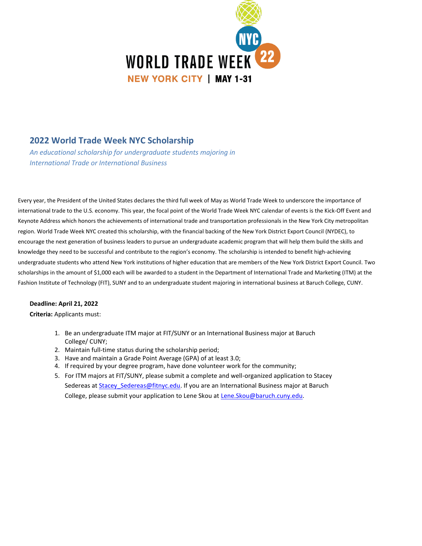

## **2022 World Trade Week NYC Scholarship**

*An educational scholarship for undergraduate students majoring in International Trade or International Business*

Every year, the President of the United States declares the third full week of May as World Trade Week to underscore the importance of international trade to the U.S. economy. This year, the focal point of the World Trade Week NYC calendar of events is the Kick-Off Event and Keynote Address which honors the achievements of international trade and transportation professionals in the New York City metropolitan region. World Trade Week NYC created this scholarship, with the financial backing of the New York District Export Council (NYDEC), to encourage the next generation of business leaders to pursue an undergraduate academic program that will help them build the skills and knowledge they need to be successful and contribute to the region's economy. The scholarship is intended to benefit high-achieving undergraduate students who attend New York institutions of higher education that are members of the New York District Export Council. Two scholarships in the amount of \$1,000 each will be awarded to a student in the Department of International Trade and Marketing (ITM) at the Fashion Institute of Technology (FIT), SUNY and to an undergraduate student majoring in international business at Baruch College, CUNY.

## **Deadline: April 21, 2022**

**Criteria:** Applicants must:

- 1. Be an undergraduate ITM major at FIT/SUNY or an International Business major at Baruch College/ CUNY;
- 2. Maintain full-time status during the scholarship period;
- 3. Have and maintain a Grade Point Average (GPA) of at least 3.0;
- 4. If required by your degree program, have done volunteer work for the community;
- 5. For ITM majors at FIT/SUNY, please submit a complete and well-organized application to Stacey Sedereas at Stacey Sedereas@fitnyc.edu. If you are a[n International B](mailto:Lene.Skou@baruch.cuny.edu)usiness major at Baruch College, please submit your application to Lene Skou at Lene. Skou@baruch.cuny.edu.